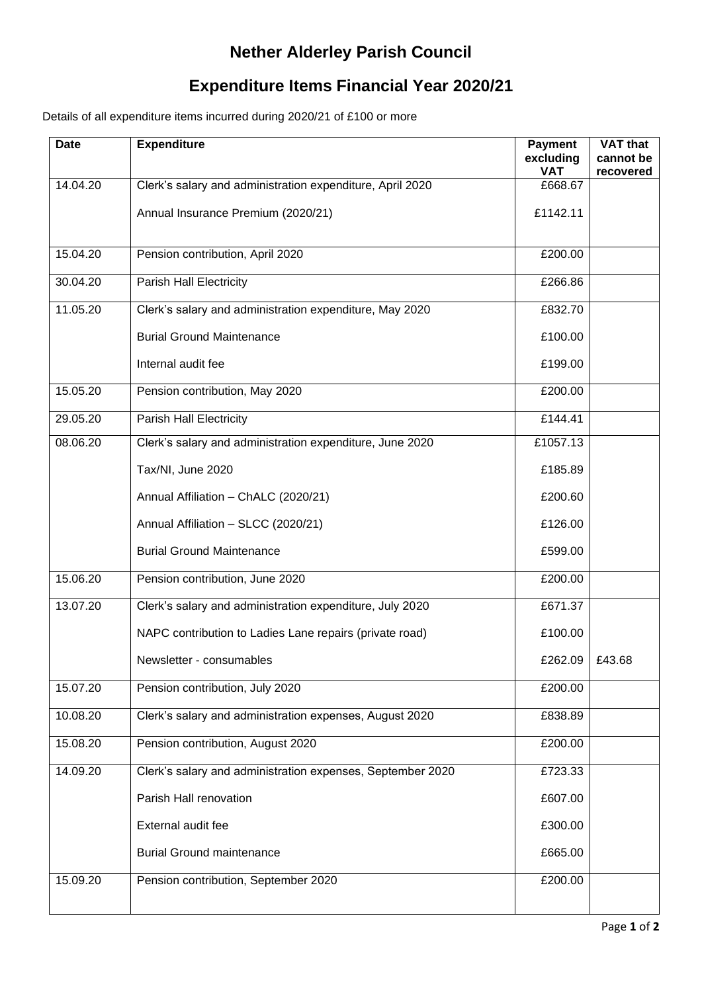## **Nether Alderley Parish Council**

## **Expenditure Items Financial Year 2020/21**

Details of all expenditure items incurred during 2020/21 of £100 or more

| 14.04.20<br>Clerk's salary and administration expenditure, April 2020<br>£668.67<br>Annual Insurance Premium (2020/21)<br>£1142.11<br>15.04.20<br>Pension contribution, April 2020<br>£200.00<br>30.04.20<br><b>Parish Hall Electricity</b><br>£266.86<br>Clerk's salary and administration expenditure, May 2020<br>11.05.20<br>£832.70<br><b>Burial Ground Maintenance</b><br>£100.00<br>Internal audit fee<br>£199.00<br>Pension contribution, May 2020<br>15.05.20<br>£200.00<br><b>Parish Hall Electricity</b><br>29.05.20<br>£144.41<br>08.06.20<br>Clerk's salary and administration expenditure, June 2020<br>£1057.13<br>Tax/NI, June 2020<br>£185.89<br>£200.60<br>Annual Affiliation - ChALC (2020/21)<br>Annual Affiliation - SLCC (2020/21)<br>£126.00<br><b>Burial Ground Maintenance</b><br>£599.00<br>15.06.20<br>Pension contribution, June 2020<br>£200.00<br>Clerk's salary and administration expenditure, July 2020<br>13.07.20<br>£671.37<br>NAPC contribution to Ladies Lane repairs (private road)<br>£100.00<br>£262.09<br>£43.68<br>Newsletter - consumables<br>Pension contribution, July 2020<br>15.07.20<br>£200.00<br>10.08.20<br>Clerk's salary and administration expenses, August 2020<br>£838.89<br>15.08.20<br>Pension contribution, August 2020<br>£200.00<br>14.09.20<br>Clerk's salary and administration expenses, September 2020<br>£723.33<br>Parish Hall renovation<br>£607.00<br>External audit fee<br>£300.00<br><b>Burial Ground maintenance</b><br>£665.00<br>15.09.20<br>Pension contribution, September 2020<br>£200.00 | <b>Date</b> | <b>Expenditure</b> | <b>Payment</b><br>excluding<br><b>VAT</b> | <b>VAT that</b><br>cannot be<br>recovered |
|-------------------------------------------------------------------------------------------------------------------------------------------------------------------------------------------------------------------------------------------------------------------------------------------------------------------------------------------------------------------------------------------------------------------------------------------------------------------------------------------------------------------------------------------------------------------------------------------------------------------------------------------------------------------------------------------------------------------------------------------------------------------------------------------------------------------------------------------------------------------------------------------------------------------------------------------------------------------------------------------------------------------------------------------------------------------------------------------------------------------------------------------------------------------------------------------------------------------------------------------------------------------------------------------------------------------------------------------------------------------------------------------------------------------------------------------------------------------------------------------------------------------------------------------------------------------------|-------------|--------------------|-------------------------------------------|-------------------------------------------|
|                                                                                                                                                                                                                                                                                                                                                                                                                                                                                                                                                                                                                                                                                                                                                                                                                                                                                                                                                                                                                                                                                                                                                                                                                                                                                                                                                                                                                                                                                                                                                                         |             |                    |                                           |                                           |
|                                                                                                                                                                                                                                                                                                                                                                                                                                                                                                                                                                                                                                                                                                                                                                                                                                                                                                                                                                                                                                                                                                                                                                                                                                                                                                                                                                                                                                                                                                                                                                         |             |                    |                                           |                                           |
|                                                                                                                                                                                                                                                                                                                                                                                                                                                                                                                                                                                                                                                                                                                                                                                                                                                                                                                                                                                                                                                                                                                                                                                                                                                                                                                                                                                                                                                                                                                                                                         |             |                    |                                           |                                           |
|                                                                                                                                                                                                                                                                                                                                                                                                                                                                                                                                                                                                                                                                                                                                                                                                                                                                                                                                                                                                                                                                                                                                                                                                                                                                                                                                                                                                                                                                                                                                                                         |             |                    |                                           |                                           |
|                                                                                                                                                                                                                                                                                                                                                                                                                                                                                                                                                                                                                                                                                                                                                                                                                                                                                                                                                                                                                                                                                                                                                                                                                                                                                                                                                                                                                                                                                                                                                                         |             |                    |                                           |                                           |
|                                                                                                                                                                                                                                                                                                                                                                                                                                                                                                                                                                                                                                                                                                                                                                                                                                                                                                                                                                                                                                                                                                                                                                                                                                                                                                                                                                                                                                                                                                                                                                         |             |                    |                                           |                                           |
|                                                                                                                                                                                                                                                                                                                                                                                                                                                                                                                                                                                                                                                                                                                                                                                                                                                                                                                                                                                                                                                                                                                                                                                                                                                                                                                                                                                                                                                                                                                                                                         |             |                    |                                           |                                           |
|                                                                                                                                                                                                                                                                                                                                                                                                                                                                                                                                                                                                                                                                                                                                                                                                                                                                                                                                                                                                                                                                                                                                                                                                                                                                                                                                                                                                                                                                                                                                                                         |             |                    |                                           |                                           |
|                                                                                                                                                                                                                                                                                                                                                                                                                                                                                                                                                                                                                                                                                                                                                                                                                                                                                                                                                                                                                                                                                                                                                                                                                                                                                                                                                                                                                                                                                                                                                                         |             |                    |                                           |                                           |
|                                                                                                                                                                                                                                                                                                                                                                                                                                                                                                                                                                                                                                                                                                                                                                                                                                                                                                                                                                                                                                                                                                                                                                                                                                                                                                                                                                                                                                                                                                                                                                         |             |                    |                                           |                                           |
|                                                                                                                                                                                                                                                                                                                                                                                                                                                                                                                                                                                                                                                                                                                                                                                                                                                                                                                                                                                                                                                                                                                                                                                                                                                                                                                                                                                                                                                                                                                                                                         |             |                    |                                           |                                           |
|                                                                                                                                                                                                                                                                                                                                                                                                                                                                                                                                                                                                                                                                                                                                                                                                                                                                                                                                                                                                                                                                                                                                                                                                                                                                                                                                                                                                                                                                                                                                                                         |             |                    |                                           |                                           |
|                                                                                                                                                                                                                                                                                                                                                                                                                                                                                                                                                                                                                                                                                                                                                                                                                                                                                                                                                                                                                                                                                                                                                                                                                                                                                                                                                                                                                                                                                                                                                                         |             |                    |                                           |                                           |
|                                                                                                                                                                                                                                                                                                                                                                                                                                                                                                                                                                                                                                                                                                                                                                                                                                                                                                                                                                                                                                                                                                                                                                                                                                                                                                                                                                                                                                                                                                                                                                         |             |                    |                                           |                                           |
|                                                                                                                                                                                                                                                                                                                                                                                                                                                                                                                                                                                                                                                                                                                                                                                                                                                                                                                                                                                                                                                                                                                                                                                                                                                                                                                                                                                                                                                                                                                                                                         |             |                    |                                           |                                           |
|                                                                                                                                                                                                                                                                                                                                                                                                                                                                                                                                                                                                                                                                                                                                                                                                                                                                                                                                                                                                                                                                                                                                                                                                                                                                                                                                                                                                                                                                                                                                                                         |             |                    |                                           |                                           |
|                                                                                                                                                                                                                                                                                                                                                                                                                                                                                                                                                                                                                                                                                                                                                                                                                                                                                                                                                                                                                                                                                                                                                                                                                                                                                                                                                                                                                                                                                                                                                                         |             |                    |                                           |                                           |
|                                                                                                                                                                                                                                                                                                                                                                                                                                                                                                                                                                                                                                                                                                                                                                                                                                                                                                                                                                                                                                                                                                                                                                                                                                                                                                                                                                                                                                                                                                                                                                         |             |                    |                                           |                                           |
|                                                                                                                                                                                                                                                                                                                                                                                                                                                                                                                                                                                                                                                                                                                                                                                                                                                                                                                                                                                                                                                                                                                                                                                                                                                                                                                                                                                                                                                                                                                                                                         |             |                    |                                           |                                           |
|                                                                                                                                                                                                                                                                                                                                                                                                                                                                                                                                                                                                                                                                                                                                                                                                                                                                                                                                                                                                                                                                                                                                                                                                                                                                                                                                                                                                                                                                                                                                                                         |             |                    |                                           |                                           |
|                                                                                                                                                                                                                                                                                                                                                                                                                                                                                                                                                                                                                                                                                                                                                                                                                                                                                                                                                                                                                                                                                                                                                                                                                                                                                                                                                                                                                                                                                                                                                                         |             |                    |                                           |                                           |
|                                                                                                                                                                                                                                                                                                                                                                                                                                                                                                                                                                                                                                                                                                                                                                                                                                                                                                                                                                                                                                                                                                                                                                                                                                                                                                                                                                                                                                                                                                                                                                         |             |                    |                                           |                                           |
|                                                                                                                                                                                                                                                                                                                                                                                                                                                                                                                                                                                                                                                                                                                                                                                                                                                                                                                                                                                                                                                                                                                                                                                                                                                                                                                                                                                                                                                                                                                                                                         |             |                    |                                           |                                           |
|                                                                                                                                                                                                                                                                                                                                                                                                                                                                                                                                                                                                                                                                                                                                                                                                                                                                                                                                                                                                                                                                                                                                                                                                                                                                                                                                                                                                                                                                                                                                                                         |             |                    |                                           |                                           |
|                                                                                                                                                                                                                                                                                                                                                                                                                                                                                                                                                                                                                                                                                                                                                                                                                                                                                                                                                                                                                                                                                                                                                                                                                                                                                                                                                                                                                                                                                                                                                                         |             |                    |                                           |                                           |
|                                                                                                                                                                                                                                                                                                                                                                                                                                                                                                                                                                                                                                                                                                                                                                                                                                                                                                                                                                                                                                                                                                                                                                                                                                                                                                                                                                                                                                                                                                                                                                         |             |                    |                                           |                                           |